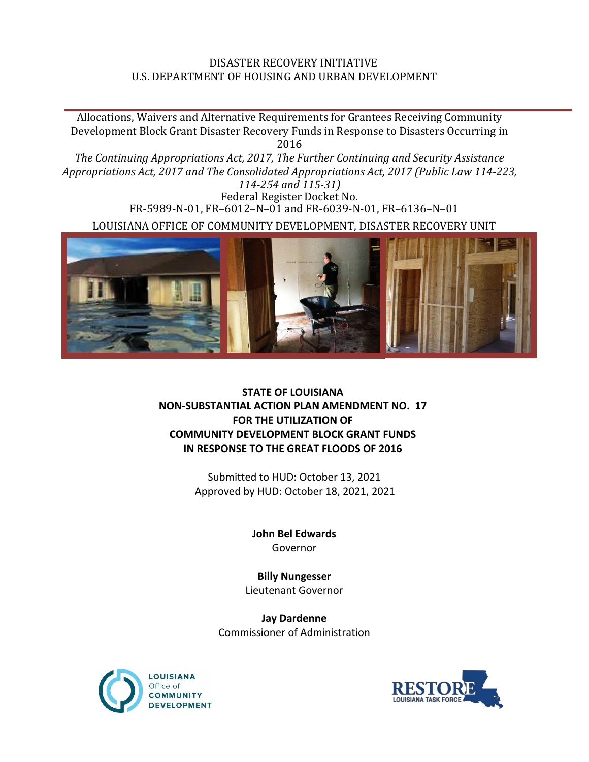## DISASTER RECOVERY INITIATIVE U.S. DEPARTMENT OF HOUSING AND URBAN DEVELOPMENT

Allocations, Waivers and Alternative Requirements for Grantees Receiving Community Development Block Grant Disaster Recovery Funds in Response to Disasters Occurring in 2016 *The Continuing Appropriations Act, 2017, The Further Continuing and Security Assistance Appropriations Act, 2017 and The Consolidated Appropriations Act, 2017 (Public Law 114-223, 114-254 and 115-31)* Federal Register Docket No. FR-5989-N-01, FR–6012–N–01 and FR-6039-N-01, FR–6136–N–01 LOUISIANA OFFICE OF COMMUNITY DEVELOPMENT, DISASTER RECOVERY UNIT



## **STATE OF LOUISIANA NON-SUBSTANTIAL ACTION PLAN AMENDMENT NO. 17 FOR THE UTILIZATION OF COMMUNITY DEVELOPMENT BLOCK GRANT FUNDS IN RESPONSE TO THE GREAT FLOODS OF 2016**

Submitted to HUD: October 13, 2021 Approved by HUD: October 18, 2021, 2021

> **John Bel Edwards** Governor

**Billy Nungesser** Lieutenant Governor

**Jay Dardenne** Commissioner of Administration



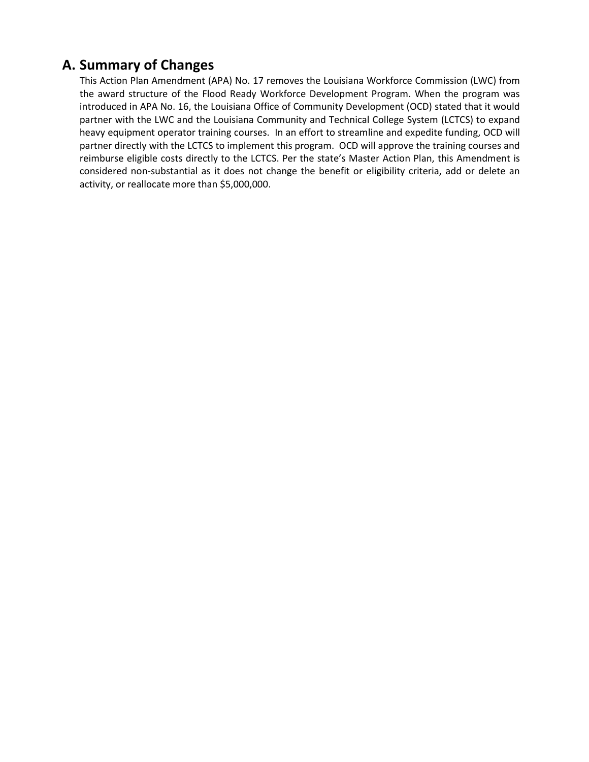## **A. Summary of Changes**

This Action Plan Amendment (APA) No. 17 removes the Louisiana Workforce Commission (LWC) from the award structure of the Flood Ready Workforce Development Program. When the program was introduced in APA No. 16, the Louisiana Office of Community Development (OCD) stated that it would partner with the LWC and the Louisiana Community and Technical College System (LCTCS) to expand heavy equipment operator training courses. In an effort to streamline and expedite funding, OCD will partner directly with the LCTCS to implement this program. OCD will approve the training courses and reimburse eligible costs directly to the LCTCS. Per the state's Master Action Plan, this Amendment is considered non-substantial as it does not change the benefit or eligibility criteria, add or delete an activity, or reallocate more than \$5,000,000.